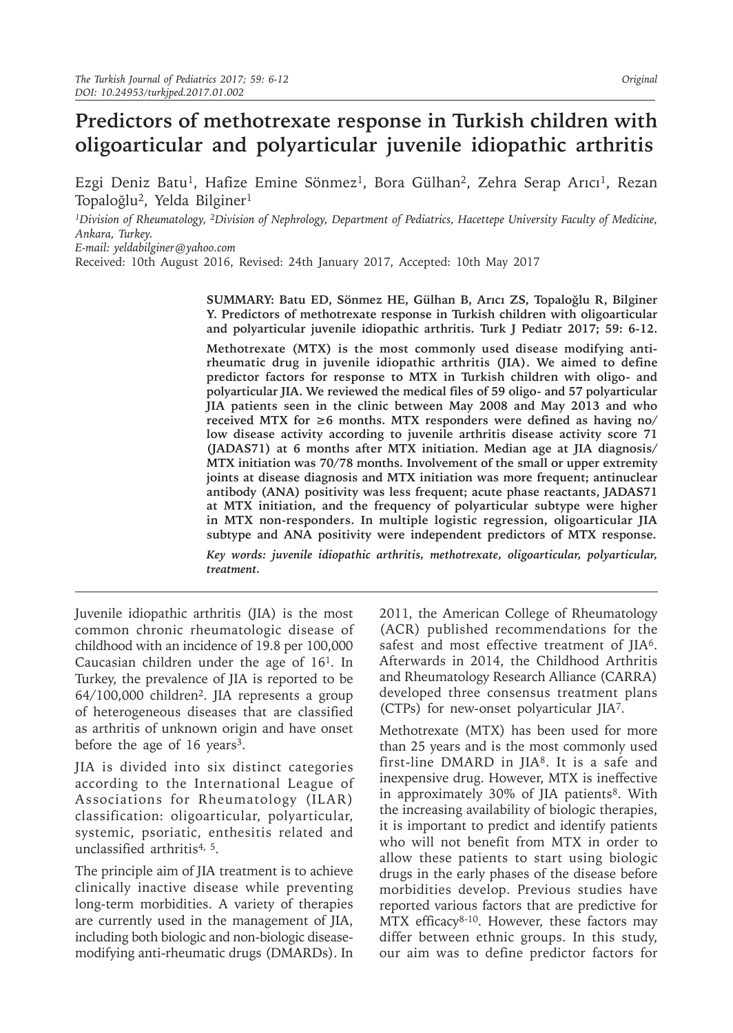# **Predictors of methotrexate response in Turkish children with oligoarticular and polyarticular juvenile idiopathic arthritis**

Ezgi Deniz Batu<sup>1</sup>, Hafize Emine Sönmez<sup>1</sup>, Bora Gülhan<sup>2</sup>, Zehra Serap Arıcı<sup>1</sup>, Rezan Topaloğlu2, Yelda Bilginer1

*1Division of Rheumatology, 2Division of Nephrology, Department of Pediatrics, Hacettepe University Faculty of Medicine, Ankara, Turkey.* 

*E-mail: yeldabilginer@yahoo.com*

Received: 10th August 2016, Revised: 24th January 2017, Accepted: 10th May 2017

**SUMMARY: Batu ED, Sönmez HE, Gülhan B, Arıcı ZS, Topaloğlu R, Bilginer Y. Predictors of methotrexate response in Turkish children with oligoarticular and polyarticular juvenile idiopathic arthritis. Turk J Pediatr 2017; 59: 6-12.**

**Methotrexate (MTX) is the most commonly used disease modifying antirheumatic drug in juvenile idiopathic arthritis (JIA). We aimed to define predictor factors for response to MTX in Turkish children with oligo- and polyarticular JIA. We reviewed the medical files of 59 oligo- and 57 polyarticular JIA patients seen in the clinic between May 2008 and May 2013 and who received MTX for ≥6 months. MTX responders were defined as having no/ low disease activity according to juvenile arthritis disease activity score 71 (JADAS71) at 6 months after MTX initiation. Median age at JIA diagnosis/ MTX initiation was 70/78 months. Involvement of the small or upper extremity joints at disease diagnosis and MTX initiation was more frequent; antinuclear antibody (ANA) positivity was less frequent; acute phase reactants, JADAS71 at MTX initiation, and the frequency of polyarticular subtype were higher in MTX non-responders. In multiple logistic regression, oligoarticular JIA subtype and ANA positivity were independent predictors of MTX response.** 

*Key words: juvenile idiopathic arthritis, methotrexate, oligoarticular, polyarticular, treatment.*

Juvenile idiopathic arthritis (JIA) is the most common chronic rheumatologic disease of childhood with an incidence of 19.8 per 100,000 Caucasian children under the age of  $16<sup>1</sup>$ . In Turkey, the prevalence of JIA is reported to be 64/100,000 children2. JIA represents a group of heterogeneous diseases that are classified as arthritis of unknown origin and have onset before the age of 16 years<sup>3</sup>.

JIA is divided into six distinct categories according to the International League of Associations for Rheumatology (ILAR) classification: oligoarticular, polyarticular, systemic, psoriatic, enthesitis related and unclassified arthritis<sup>4, 5</sup>.

The principle aim of JIA treatment is to achieve clinically inactive disease while preventing long-term morbidities. A variety of therapies are currently used in the management of JIA, including both biologic and non-biologic diseasemodifying anti-rheumatic drugs (DMARDs). In

2011, the American College of Rheumatology (ACR) published recommendations for the safest and most effective treatment of JIA<sup>6</sup>. Afterwards in 2014, the Childhood Arthritis and Rheumatology Research Alliance (CARRA) developed three consensus treatment plans (CTPs) for new-onset polyarticular JIA7.

Methotrexate (MTX) has been used for more than 25 years and is the most commonly used first-line DMARD in JIA8. It is a safe and inexpensive drug. However, MTX is ineffective in approximately 30% of JIA patients<sup>8</sup>. With the increasing availability of biologic therapies, it is important to predict and identify patients who will not benefit from MTX in order to allow these patients to start using biologic drugs in the early phases of the disease before morbidities develop. Previous studies have reported various factors that are predictive for MTX efficacy $8-10$ . However, these factors may differ between ethnic groups. In this study, our aim was to define predictor factors for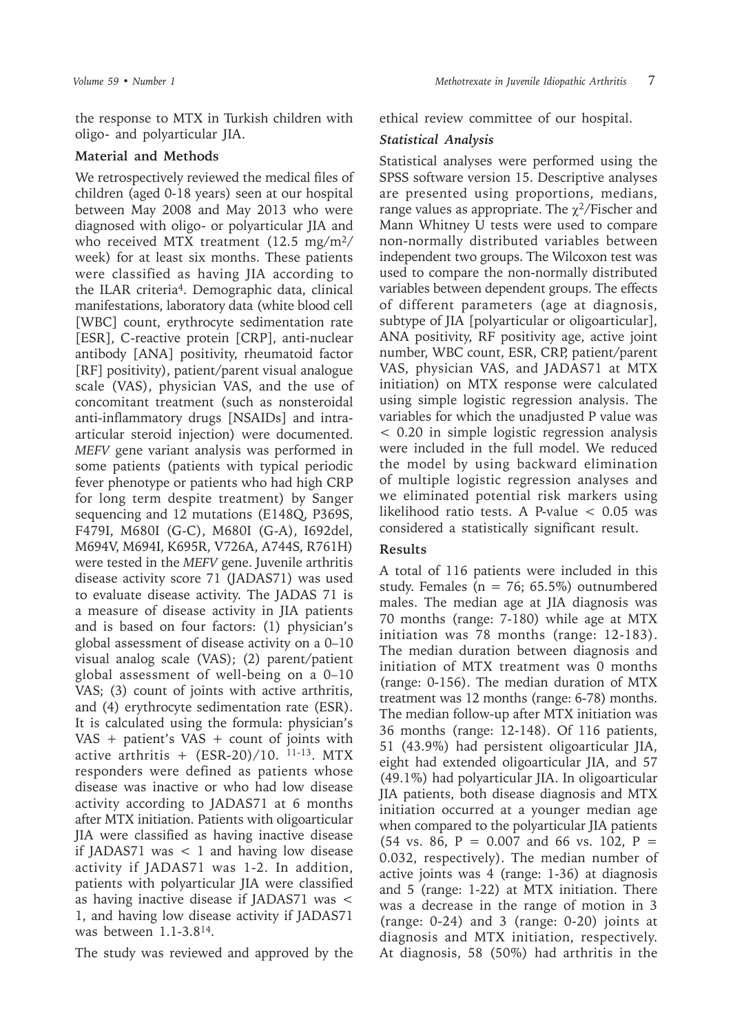the response to MTX in Turkish children with oligo- and polyarticular JIA.

## **Material and Methods**

We retrospectively reviewed the medical files of children (aged 0-18 years) seen at our hospital between May 2008 and May 2013 who were diagnosed with oligo- or polyarticular JIA and who received MTX treatment (12.5 mg/m<sup>2</sup>/ week) for at least six months. These patients were classified as having JIA according to the ILAR criteria<sup>4</sup>. Demographic data, clinical manifestations, laboratory data (white blood cell [WBC] count, erythrocyte sedimentation rate [ESR], C-reactive protein [CRP], anti-nuclear antibody [ANA] positivity, rheumatoid factor [RF] positivity), patient/parent visual analogue scale (VAS), physician VAS, and the use of concomitant treatment (such as nonsteroidal anti-inflammatory drugs [NSAIDs] and intraarticular steroid injection) were documented. *MEFV* gene variant analysis was performed in some patients (patients with typical periodic fever phenotype or patients who had high CRP for long term despite treatment) by Sanger sequencing and 12 mutations (E148Q, P369S, F479I, M680I (G-C), M680I (G-A), I692del, M694V, M694I, K695R, V726A, A744S, R761H) were tested in the *MEFV* gene. Juvenile arthritis disease activity score 71 (JADAS71) was used to evaluate disease activity. The JADAS 71 is a measure of disease activity in JIA patients and is based on four factors: (1) physician's global assessment of disease activity on a 0–10 visual analog scale (VAS); (2) parent/patient global assessment of well-being on a 0–10 VAS; (3) count of joints with active arthritis, and (4) erythrocyte sedimentation rate (ESR). It is calculated using the formula: physician's VAS + patient's VAS + count of joints with active arthritis +  $(ESR-20)/10$ . 11-13. MTX responders were defined as patients whose disease was inactive or who had low disease activity according to JADAS71 at 6 months after MTX initiation. Patients with oligoarticular JIA were classified as having inactive disease if JADAS71 was < 1 and having low disease activity if JADAS71 was 1-2. In addition, patients with polyarticular JIA were classified as having inactive disease if JADAS71 was < 1, and having low disease activity if JADAS71 was between 1.1-3.814.

The study was reviewed and approved by the

ethical review committee of our hospital.

### *Statistical Analysis*

Statistical analyses were performed using the SPSS software version 15. Descriptive analyses are presented using proportions, medians, range values as appropriate. The  $\gamma^2$ /Fischer and Mann Whitney U tests were used to compare non-normally distributed variables between independent two groups. The Wilcoxon test was used to compare the non-normally distributed variables between dependent groups. The effects of different parameters (age at diagnosis, subtype of JIA [polyarticular or oligoarticular], ANA positivity, RF positivity age, active joint number, WBC count, ESR, CRP, patient/parent VAS, physician VAS, and JADAS71 at MTX initiation) on MTX response were calculated using simple logistic regression analysis. The variables for which the unadjusted P value was < 0.20 in simple logistic regression analysis were included in the full model. We reduced the model by using backward elimination of multiple logistic regression analyses and we eliminated potential risk markers using likelihood ratio tests. A P-value < 0.05 was considered a statistically significant result.

#### **Results**

A total of 116 patients were included in this study. Females ( $n = 76$ ; 65.5%) outnumbered males. The median age at JIA diagnosis was 70 months (range: 7-180) while age at MTX initiation was 78 months (range: 12-183). The median duration between diagnosis and initiation of MTX treatment was 0 months (range: 0-156). The median duration of MTX treatment was 12 months (range: 6-78) months. The median follow-up after MTX initiation was 36 months (range: 12-148). Of 116 patients, 51 (43.9%) had persistent oligoarticular JIA, eight had extended oligoarticular JIA, and 57 (49.1%) had polyarticular JIA. In oligoarticular JIA patients, both disease diagnosis and MTX initiation occurred at a younger median age when compared to the polyarticular JIA patients  $(54 \text{ vs. } 86, \text{ P} = 0.007 \text{ and } 66 \text{ vs. } 102, \text{ P} =$ 0.032, respectively). The median number of active joints was 4 (range: 1-36) at diagnosis and 5 (range: 1-22) at MTX initiation. There was a decrease in the range of motion in 3 (range: 0-24) and 3 (range: 0-20) joints at diagnosis and MTX initiation, respectively. At diagnosis, 58 (50%) had arthritis in the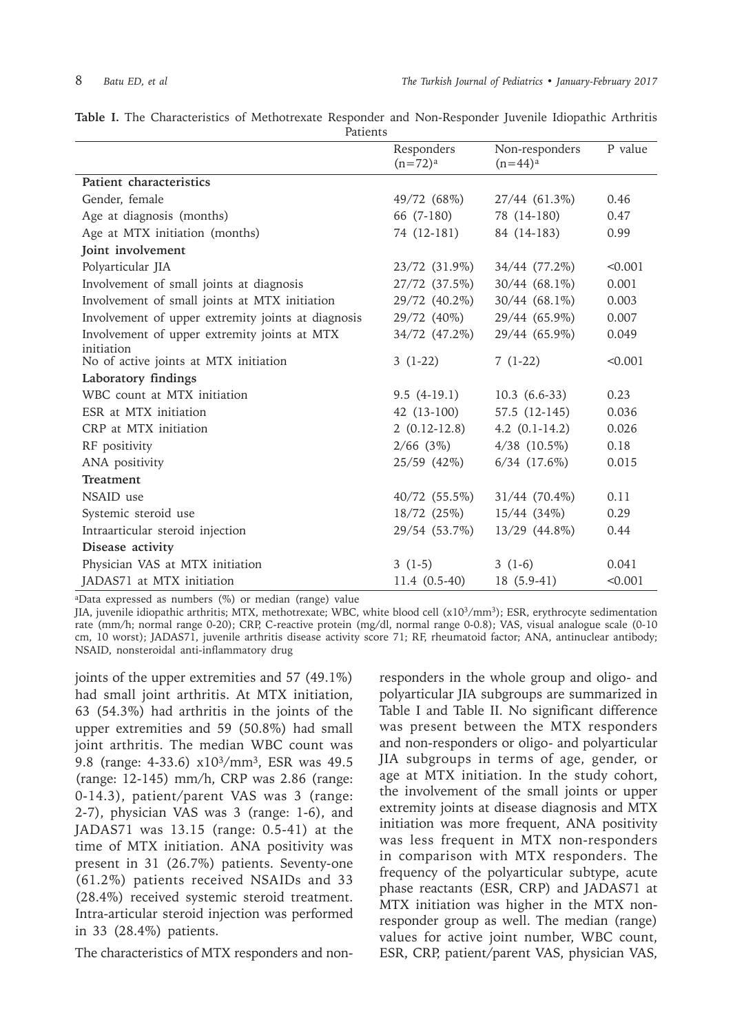|  |  |  | Table I. The Characteristics of Methotrexate Responder and Non-Responder Juvenile Idiopathic Arthritis |          |  |  |  |  |
|--|--|--|--------------------------------------------------------------------------------------------------------|----------|--|--|--|--|
|  |  |  |                                                                                                        | Patients |  |  |  |  |

|                                                     | Responders<br>$(n=72)^a$ | Non-responders<br>$(n=44)^a$ | P value |
|-----------------------------------------------------|--------------------------|------------------------------|---------|
| Patient characteristics                             |                          |                              |         |
| Gender, female                                      | 49/72 (68%)              | 27/44 (61.3%)                | 0.46    |
| Age at diagnosis (months)                           | 66 (7-180)               | 78 (14-180)                  | 0.47    |
| Age at MTX initiation (months)                      | 74 (12-181)              | 84 (14-183)                  | 0.99    |
| Joint involvement                                   |                          |                              |         |
| Polyarticular JIA                                   | 23/72 (31.9%)            | 34/44 (77.2%)                | < 0.001 |
| Involvement of small joints at diagnosis            | 27/72 (37.5%)            | $30/44$ (68.1%)              | 0.001   |
| Involvement of small joints at MTX initiation       | 29/72 (40.2%)            | $30/44$ (68.1%)              | 0.003   |
| Involvement of upper extremity joints at diagnosis  | 29/72 (40%)              | 29/44 (65.9%)                | 0.007   |
| Involvement of upper extremity joints at MTX        | 34/72 (47.2%)            | 29/44 (65.9%)                | 0.049   |
| initiation<br>No of active joints at MTX initiation | $3(1-22)$                | $7(1-22)$                    | < 0.001 |
| Laboratory findings                                 |                          |                              |         |
| WBC count at MTX initiation                         | $9.5(4-19.1)$            | $10.3(6.6-33)$               | 0.23    |
| ESR at MTX initiation                               | 42 (13-100)              | 57.5 (12-145)                | 0.036   |
| CRP at MTX initiation                               | $2(0.12-12.8)$           | $4.2$ $(0.1-14.2)$           | 0.026   |
| RF positivity                                       | $2/66$ (3%)              | $4/38$ $(10.5\%)$            | 0.18    |
| ANA positivity                                      | 25/59 (42%)              | $6/34$ $(17.6\%)$            | 0.015   |
| Treatment                                           |                          |                              |         |
| NSAID use                                           | 40/72 (55.5%)            | 31/44 (70.4%)                | 0.11    |
| Systemic steroid use                                | 18/72 (25%)              | $15/44$ (34%)                | 0.29    |
| Intraarticular steroid injection                    | 29/54 (53.7%)            | 13/29 (44.8%)                | 0.44    |
| Disease activity                                    |                          |                              |         |
| Physician VAS at MTX initiation                     | $3(1-5)$                 | $3(1-6)$                     | 0.041   |
| JADAS71 at MTX initiation                           | 11.4 (0.5-40)            | $18(5.9-41)$                 | < 0.001 |

<sup>a</sup>Data expressed as numbers (%) or median (range) value

JIA, juvenile idiopathic arthritis; MTX, methotrexate; WBC, white blood cell (x103/mm3); ESR, erythrocyte sedimentation rate (mm/h; normal range 0-20); CRP, C-reactive protein (mg/dl, normal range 0-0.8); VAS, visual analogue scale (0-10 cm, 10 worst); JADAS71, juvenile arthritis disease activity score 71; RF, rheumatoid factor; ANA, antinuclear antibody; NSAID, nonsteroidal anti-inflammatory drug

joints of the upper extremities and 57 (49.1%) had small joint arthritis. At MTX initiation, 63 (54.3%) had arthritis in the joints of the upper extremities and 59 (50.8%) had small joint arthritis. The median WBC count was 9.8 (range: 4-33.6) x103/mm3, ESR was 49.5 (range: 12-145) mm/h, CRP was 2.86 (range: 0-14.3), patient/parent VAS was 3 (range: 2-7), physician VAS was 3 (range: 1-6), and JADAS71 was 13.15 (range: 0.5-41) at the time of MTX initiation. ANA positivity was present in 31 (26.7%) patients. Seventy-one (61.2%) patients received NSAIDs and 33 (28.4%) received systemic steroid treatment. Intra-articular steroid injection was performed in 33 (28.4%) patients.

The characteristics of MTX responders and non-

responders in the whole group and oligo- and polyarticular JIA subgroups are summarized in Table I and Table II. No significant difference was present between the MTX responders and non-responders or oligo- and polyarticular JIA subgroups in terms of age, gender, or age at MTX initiation. In the study cohort, the involvement of the small joints or upper extremity joints at disease diagnosis and MTX initiation was more frequent, ANA positivity was less frequent in MTX non-responders in comparison with MTX responders. The frequency of the polyarticular subtype, acute phase reactants (ESR, CRP) and JADAS71 at MTX initiation was higher in the MTX nonresponder group as well. The median (range) values for active joint number, WBC count, ESR, CRP, patient/parent VAS, physician VAS,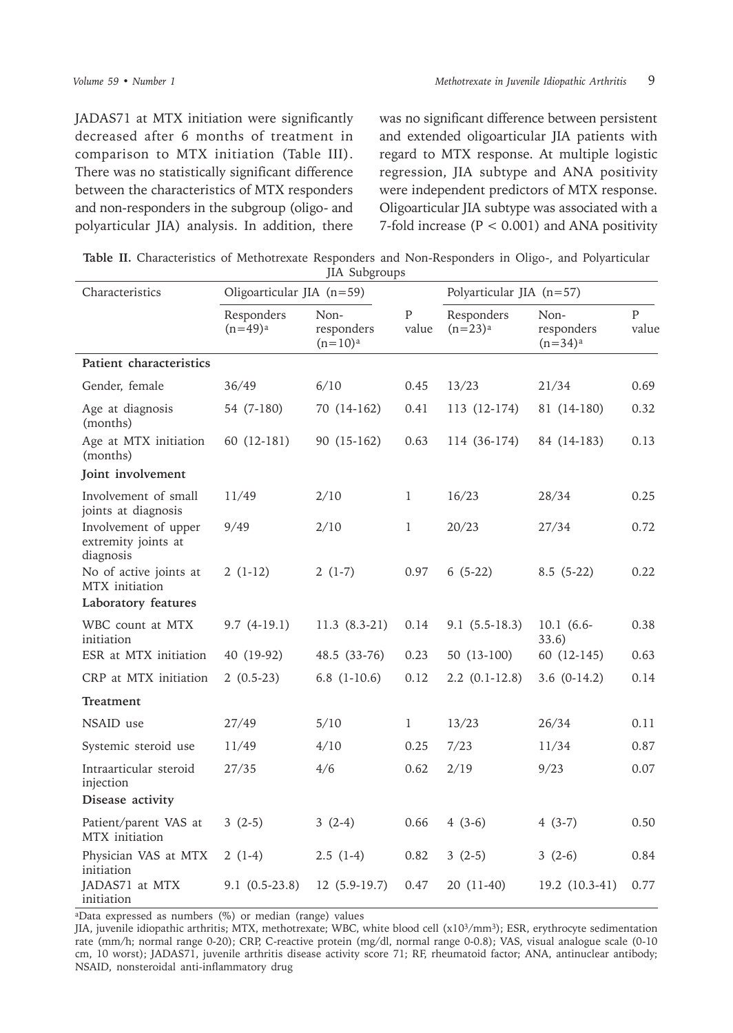JADAS71 at MTX initiation were significantly decreased after 6 months of treatment in comparison to MTX initiation (Table III). There was no statistically significant difference between the characteristics of MTX responders and non-responders in the subgroup (oligo- and polyarticular JIA) analysis. In addition, there

was no significant difference between persistent and extended oligoarticular JIA patients with regard to MTX response. At multiple logistic regression, JIA subtype and ANA positivity were independent predictors of MTX response. Oligoarticular JIA subtype was associated with a 7-fold increase (P < 0.001) and ANA positivity

|  |               | Table II. Characteristics of Methotrexate Responders and Non-Responders in Oligo-, and Polyarticular |  |  |
|--|---------------|------------------------------------------------------------------------------------------------------|--|--|
|  | JIA Subgroups |                                                                                                      |  |  |

| Characteristics                                                 | Oligoarticular JIA (n=59) |                                  |                         | Polyarticular JIA (n=57) |                                  |                         |  |
|-----------------------------------------------------------------|---------------------------|----------------------------------|-------------------------|--------------------------|----------------------------------|-------------------------|--|
|                                                                 | Responders<br>$(n=49)^a$  | Non-<br>responders<br>$(n=10)^a$ | $\overline{P}$<br>value | Responders<br>$(n=23)^a$ | Non-<br>responders<br>$(n=34)^a$ | $\overline{P}$<br>value |  |
| Patient characteristics                                         |                           |                                  |                         |                          |                                  |                         |  |
| Gender, female                                                  | 36/49                     | 6/10                             | 0.45                    | 13/23                    | 21/34                            | 0.69                    |  |
| Age at diagnosis<br>(months)                                    | 54 (7-180)                | 70 (14-162)                      | 0.41                    | 113 (12-174)             | 81 (14-180)                      | 0.32                    |  |
| Age at MTX initiation<br>(months)                               | 60 (12-181)               | 90 (15-162)                      | 0.63                    | 114 (36-174)             | 84 (14-183)                      | 0.13                    |  |
| Joint involvement                                               |                           |                                  |                         |                          |                                  |                         |  |
| Involvement of small<br>joints at diagnosis                     | 11/49                     | 2/10                             | 1                       | 16/23                    | 28/34                            | 0.25                    |  |
| Involvement of upper<br>extremity joints at<br>diagnosis        | 9/49                      | 2/10                             | 1                       | 20/23                    | 27/34                            | 0.72                    |  |
| No of active joints at<br>MTX initiation<br>Laboratory features | $2(1-12)$                 | $2(1-7)$                         | 0.97                    | $6(5-22)$                | $8.5(5-22)$                      | 0.22                    |  |
| WBC count at MTX<br>initiation                                  | $9.7(4-19.1)$             | $11.3(8.3-21)$                   | 0.14                    | $9.1(5.5-18.3)$          | 10.1 (6.6-<br>33.6)              | 0.38                    |  |
| ESR at MTX initiation                                           | 40 (19-92)                | 48.5 (33-76)                     | 0.23                    | 50 (13-100)              | 60 (12-145)                      | 0.63                    |  |
| CRP at MTX initiation                                           | $2(0.5-23)$               | 6.8 $(1-10.6)$                   | 0.12                    | $2.2$ $(0.1-12.8)$       | $3.6(0-14.2)$                    | 0.14                    |  |
| Treatment                                                       |                           |                                  |                         |                          |                                  |                         |  |
| NSAID use                                                       | 27/49                     | 5/10                             | $\mathbf{1}$            | 13/23                    | 26/34                            | 0.11                    |  |
| Systemic steroid use                                            | 11/49                     | 4/10                             | 0.25                    | 7/23                     | 11/34                            | 0.87                    |  |
| Intraarticular steroid<br>injection                             | 27/35                     | 4/6                              | 0.62                    | 2/19                     | 9/23                             | 0.07                    |  |
| Disease activity                                                |                           |                                  |                         |                          |                                  |                         |  |
| Patient/parent VAS at<br>MTX initiation                         | $3(2-5)$                  | $3(2-4)$                         | 0.66                    | $4(3-6)$                 | $4(3-7)$                         | 0.50                    |  |
| Physician VAS at MTX<br>initiation                              | $2(1-4)$                  | $2.5(1-4)$                       | 0.82                    | $3(2-5)$                 | $3(2-6)$                         | 0.84                    |  |
| JADAS71 at MTX<br>initiation                                    | $9.1(0.5-23.8)$           | 12 (5.9-19.7)                    | 0.47                    | 20 (11-40)               | 19.2 (10.3-41)                   | 0.77                    |  |

<sup>a</sup>Data expressed as numbers (%) or median (range) values

JIA, juvenile idiopathic arthritis; MTX, methotrexate; WBC, white blood cell (x103/mm3); ESR, erythrocyte sedimentation rate (mm/h; normal range 0-20); CRP, C-reactive protein (mg/dl, normal range 0-0.8); VAS, visual analogue scale (0-10 cm, 10 worst); JADAS71, juvenile arthritis disease activity score 71; RF, rheumatoid factor; ANA, antinuclear antibody; NSAID, nonsteroidal anti-inflammatory drug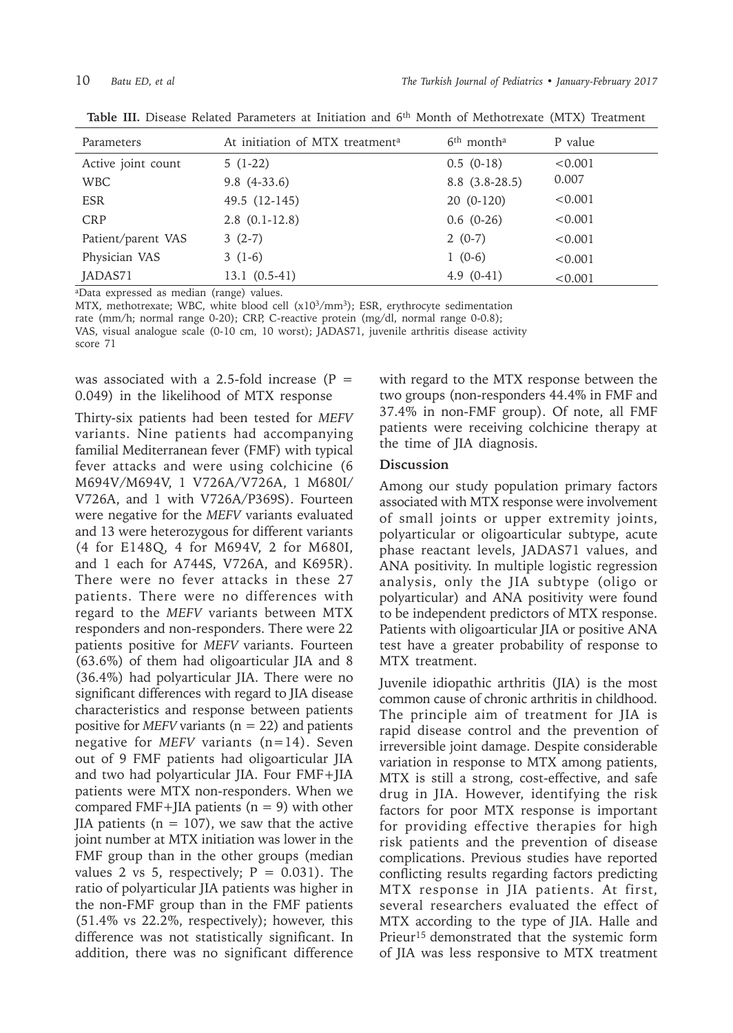| Parameters         | At initiation of MTX treatment <sup>a</sup> | 6 <sup>th</sup> month <sup>a</sup> | P value |
|--------------------|---------------------------------------------|------------------------------------|---------|
| Active joint count | $5(1-22)$                                   | $0.5(0-18)$                        | < 0.001 |
| <b>WBC</b>         | $9.8(4-33.6)$                               | $8.8(3.8-28.5)$                    | 0.007   |
| <b>ESR</b>         | 49.5 (12-145)                               | $20(0-120)$                        | < 0.001 |
| <b>CRP</b>         | $2.8$ $(0.1-12.8)$                          | $0.6(0-26)$                        | < 0.001 |
| Patient/parent VAS | $3(2-7)$                                    | $2(0-7)$                           | < 0.001 |
| Physician VAS      | $3(1-6)$                                    | $1(0-6)$                           | < 0.001 |
| JADAS71            | $13.1(0.5-41)$                              | $4.9(0-41)$                        | < 0.001 |

**Table III.** Disease Related Parameters at Initiation and 6th Month of Methotrexate (MTX) Treatment

<sup>a</sup>Data expressed as median (range) values.

MTX, methotrexate; WBC, white blood cell (x10<sup>3</sup>/mm<sup>3</sup>); ESR, erythrocyte sedimentation rate (mm/h; normal range 0-20); CRP, C-reactive protein (mg/dl, normal range 0-0.8); VAS, visual analogue scale (0-10 cm, 10 worst); JADAS71, juvenile arthritis disease activity score 71

was associated with a 2.5-fold increase  $(P =$ 0.049) in the likelihood of MTX response

Thirty-six patients had been tested for *MEFV* variants. Nine patients had accompanying familial Mediterranean fever (FMF) with typical fever attacks and were using colchicine (6 M694V/M694V, 1 V726A/V726A, 1 M680I/ V726A, and 1 with V726A/P369S). Fourteen were negative for the *MEFV* variants evaluated and 13 were heterozygous for different variants (4 for E148Q, 4 for M694V, 2 for M680I, and 1 each for A744S, V726A, and K695R). There were no fever attacks in these 27 patients. There were no differences with regard to the *MEFV* variants between MTX responders and non-responders. There were 22 patients positive for *MEFV* variants. Fourteen (63.6%) of them had oligoarticular JIA and 8 (36.4%) had polyarticular JIA. There were no significant differences with regard to JIA disease characteristics and response between patients positive for *MEFV* variants  $(n = 22)$  and patients negative for *MEFV* variants (n=14). Seven out of 9 FMF patients had oligoarticular JIA and two had polyarticular JIA. Four FMF+JIA patients were MTX non-responders. When we compared FMF+JIA patients  $(n = 9)$  with other JIA patients ( $n = 107$ ), we saw that the active joint number at MTX initiation was lower in the FMF group than in the other groups (median values 2 vs 5, respectively;  $P = 0.031$ ). The ratio of polyarticular JIA patients was higher in the non-FMF group than in the FMF patients (51.4% vs 22.2%, respectively); however, this difference was not statistically significant. In addition, there was no significant difference

with regard to the MTX response between the two groups (non-responders 44.4% in FMF and 37.4% in non-FMF group). Of note, all FMF patients were receiving colchicine therapy at the time of JIA diagnosis.

## **Discussion**

Among our study population primary factors associated with MTX response were involvement of small joints or upper extremity joints, polyarticular or oligoarticular subtype, acute phase reactant levels, JADAS71 values, and ANA positivity. In multiple logistic regression analysis, only the JIA subtype (oligo or polyarticular) and ANA positivity were found to be independent predictors of MTX response. Patients with oligoarticular JIA or positive ANA test have a greater probability of response to MTX treatment.

Juvenile idiopathic arthritis (JIA) is the most common cause of chronic arthritis in childhood. The principle aim of treatment for JIA is rapid disease control and the prevention of irreversible joint damage. Despite considerable variation in response to MTX among patients, MTX is still a strong, cost-effective, and safe drug in JIA. However, identifying the risk factors for poor MTX response is important for providing effective therapies for high risk patients and the prevention of disease complications. Previous studies have reported conflicting results regarding factors predicting MTX response in JIA patients. At first, several researchers evaluated the effect of MTX according to the type of JIA. Halle and Prieur<sup>15</sup> demonstrated that the systemic form of JIA was less responsive to MTX treatment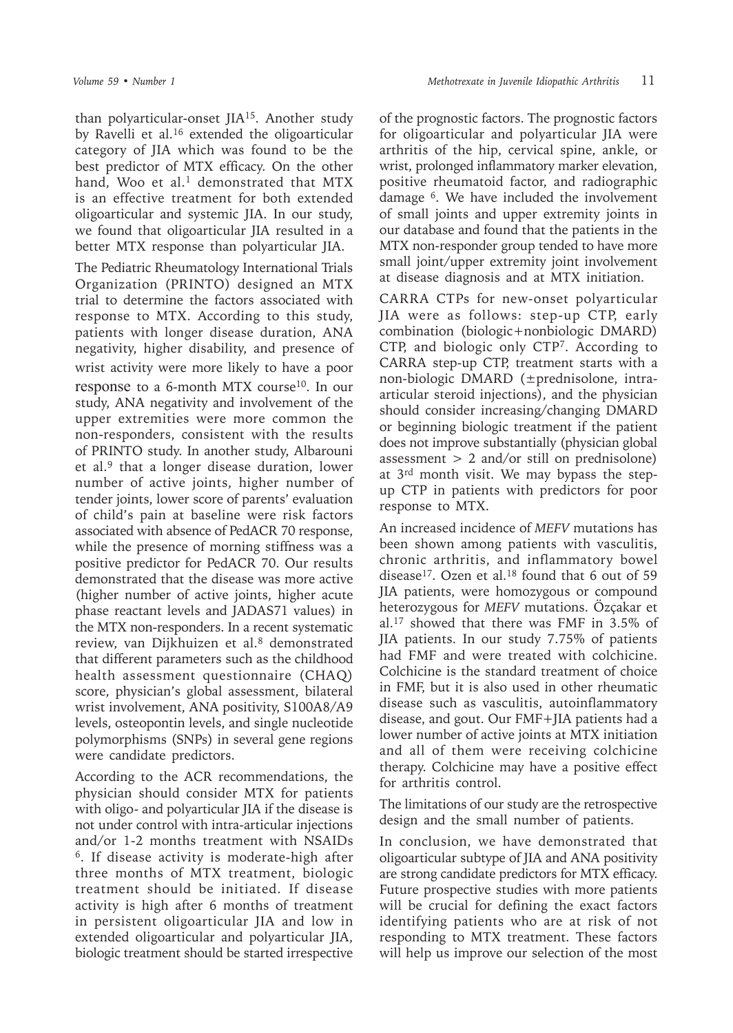than polyarticular-onset JIA15. Another study by Ravelli et al.<sup>16</sup> extended the oligoarticular category of JIA which was found to be the best predictor of MTX efficacy. On the other hand, Woo et al. $<sup>1</sup>$  demonstrated that MTX</sup> is an effective treatment for both extended oligoarticular and systemic JIA. In our study, we found that oligoarticular JIA resulted in a better MTX response than polyarticular JIA.

The Pediatric Rheumatology International Trials Organization (PRINTO) designed an MTX trial to determine the factors associated with response to MTX. According to this study, patients with longer disease duration, ANA negativity, higher disability, and presence of wrist activity were more likely to have a poor response to a 6-month MTX course<sup>10</sup>. In our study, ANA negativity and involvement of the upper extremities were more common the non-responders, consistent with the results of PRINTO study. In another study, Albarouni et al.9 that a longer disease duration, lower number of active joints, higher number of tender joints, lower score of parents' evaluation of child's pain at baseline were risk factors associated with absence of PedACR 70 response, while the presence of morning stiffness was a positive predictor for PedACR 70. Our results demonstrated that the disease was more active (higher number of active joints, higher acute phase reactant levels and JADAS71 values) in the MTX non-responders. In a recent systematic review, van Dijkhuizen et al.<sup>8</sup> demonstrated that different parameters such as the childhood health assessment questionnaire (CHAQ) score, physician's global assessment, bilateral wrist involvement, ANA positivity, S100A8/A9 levels, osteopontin levels, and single nucleotide polymorphisms (SNPs) in several gene regions were candidate predictors.

According to the ACR recommendations, the physician should consider MTX for patients with oligo- and polyarticular JIA if the disease is not under control with intra-articular injections and/or 1-2 months treatment with NSAIDs 6. If disease activity is moderate-high after three months of MTX treatment, biologic treatment should be initiated. If disease activity is high after 6 months of treatment in persistent oligoarticular JIA and low in extended oligoarticular and polyarticular JIA, biologic treatment should be started irrespective

of the prognostic factors. The prognostic factors for oligoarticular and polyarticular JIA were arthritis of the hip, cervical spine, ankle, or wrist, prolonged inflammatory marker elevation, positive rheumatoid factor, and radiographic damage 6. We have included the involvement of small joints and upper extremity joints in our database and found that the patients in the MTX non-responder group tended to have more small joint/upper extremity joint involvement at disease diagnosis and at MTX initiation.

CARRA CTPs for new-onset polyarticular JIA were as follows: step-up CTP, early combination (biologic+nonbiologic DMARD) CTP, and biologic only CTP7. According to CARRA step-up CTP, treatment starts with a non-biologic DMARD (±prednisolone, intraarticular steroid injections), and the physician should consider increasing/changing DMARD or beginning biologic treatment if the patient does not improve substantially (physician global assessment > 2 and/or still on prednisolone) at 3rd month visit. We may bypass the stepup CTP in patients with predictors for poor response to MTX.

An increased incidence of *MEFV* mutations has been shown among patients with vasculitis, chronic arthritis, and inflammatory bowel disease<sup>17</sup>. Ozen et al.<sup>18</sup> found that 6 out of 59 JIA patients, were homozygous or compound heterozygous for *MEFV* mutations. Özçakar et al.17 showed that there was FMF in 3.5% of JIA patients. In our study 7.75% of patients had FMF and were treated with colchicine. Colchicine is the standard treatment of choice in FMF, but it is also used in other rheumatic disease such as vasculitis, autoinflammatory disease, and gout. Our FMF+JIA patients had a lower number of active joints at MTX initiation and all of them were receiving colchicine therapy. Colchicine may have a positive effect for arthritis control.

The limitations of our study are the retrospective design and the small number of patients.

In conclusion, we have demonstrated that oligoarticular subtype of JIA and ANA positivity are strong candidate predictors for MTX efficacy. Future prospective studies with more patients will be crucial for defining the exact factors identifying patients who are at risk of not responding to MTX treatment. These factors will help us improve our selection of the most